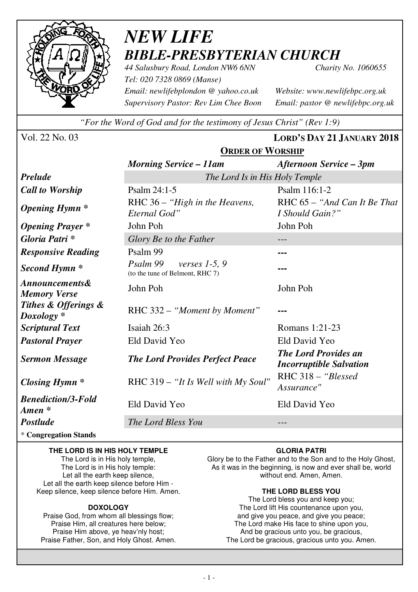

# *NEW LIFE BIBLE-PRESBYTERIAN CHURCH*

**ORDER OF WORSHIP**

*44 Salusbury Road, London NW6 6NN Charity No. 1060655 Tel: 020 7328 0869 (Manse) Email: newlifebplondon @ yahoo.co.uk Website: www.newlifebpc.org.uk Supervisory Pastor: Rev Lim Chee Boon Email: pastor @ newlifebpc.org.uk* 

*"For the Word of God and for the testimony of Jesus Christ" (Rev 1:9)*

Vol. 22 No. 03 **LORD'S DAY 21 JANUARY 2018**

|                                                  | <u> STEBEN SIMBINI</u>                                         |                                                               |  |  |
|--------------------------------------------------|----------------------------------------------------------------|---------------------------------------------------------------|--|--|
|                                                  | <b>Morning Service – 11am</b>                                  | Afternoon Service – 3pm                                       |  |  |
| <b>Prelude</b>                                   | The Lord Is in His Holy Temple                                 |                                                               |  |  |
| <b>Call to Worship</b>                           | Psalm 24:1-5                                                   | Psalm 116:1-2                                                 |  |  |
| <b>Opening Hymn</b> *                            | RHC 36 - "High in the Heavens,<br>Eternal God"                 | RHC 65 – "And Can It Be That<br>I Should Gain?"               |  |  |
| <b>Opening Prayer</b> *                          | John Poh                                                       | John Poh                                                      |  |  |
| Gloria Patri*                                    | Glory Be to the Father                                         |                                                               |  |  |
| <b>Responsive Reading</b>                        | Psalm 99                                                       |                                                               |  |  |
| Second Hymn <sup>*</sup>                         | Psalm 99<br>verses $1-5, 9$<br>(to the tune of Belmont, RHC 7) |                                                               |  |  |
| <b>Announcements&amp;</b><br><b>Memory Verse</b> | John Poh                                                       | John Poh                                                      |  |  |
| Tithes & Offerings &<br>$Doxology *$             | RHC 332 – "Moment by Moment"                                   |                                                               |  |  |
| <b>Scriptural Text</b>                           | Isaiah 26:3                                                    | Romans 1:21-23                                                |  |  |
| <b>Pastoral Prayer</b>                           | Eld David Yeo                                                  | Eld David Yeo                                                 |  |  |
| <b>Sermon Message</b>                            | <b>The Lord Provides Perfect Peace</b>                         | <b>The Lord Provides an</b><br><b>Incorruptible Salvation</b> |  |  |
| <b>Closing Hymn</b> *                            | RHC 319 - "It Is Well with My Soul"                            | RHC 318 - "Blessed<br>Assurance"                              |  |  |
| <b>Benediction/3-Fold</b><br>Amen *              | Eld David Yeo                                                  | Eld David Yeo                                                 |  |  |
| <b>Postlude</b>                                  | The Lord Bless You                                             |                                                               |  |  |

\* **Congregation Stands** 

### **THE LORD IS IN HIS HOLY TEMPLE**

The Lord is in His holy temple, The Lord is in His holy temple: Let all the earth keep silence. Let all the earth keep silence before Him - Keep silence, keep silence before Him. Amen.

### **DOXOLOGY**

Praise God, from whom all blessings flow; Praise Him, all creatures here below; Praise Him above, ye heav'nly host; Praise Father, Son, and Holy Ghost. Amen.

### **GLORIA PATRI**

Glory be to the Father and to the Son and to the Holy Ghost, As it was in the beginning, is now and ever shall be, world without end. Amen, Amen.

### **THE LORD BLESS YOU**

The Lord bless you and keep you; The Lord lift His countenance upon you, and give you peace, and give you peace; The Lord make His face to shine upon you, And be gracious unto you, be gracious, The Lord be gracious, gracious unto you. Amen.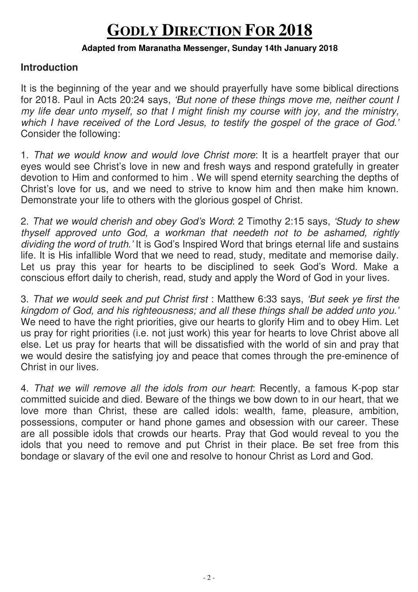# **GODLY DIRECTION FOR 2018**

## **Adapted from Maranatha Messenger, Sunday 14th January 2018**

## **Introduction**

It is the beginning of the year and we should prayerfully have some biblical directions for 2018. Paul in Acts 20:24 says, 'But none of these things move me, neither count I my life dear unto myself, so that I might finish my course with joy, and the ministry, which I have received of the Lord Jesus, to testify the gospel of the grace of God.' Consider the following:

1. That we would know and would love Christ more: It is a heartfelt prayer that our eyes would see Christ's love in new and fresh ways and respond gratefully in greater devotion to Him and conformed to him . We will spend eternity searching the depths of Christ's love for us, and we need to strive to know him and then make him known. Demonstrate your life to others with the glorious gospel of Christ.

2. That we would cherish and obey God's Word: 2 Timothy 2:15 says, 'Study to shew thyself approved unto God, a workman that needeth not to be ashamed, rightly dividing the word of truth.' It is God's Inspired Word that brings eternal life and sustains life. It is His infallible Word that we need to read, study, meditate and memorise daily. Let us pray this year for hearts to be disciplined to seek God's Word. Make a conscious effort daily to cherish, read, study and apply the Word of God in your lives.

3. That we would seek and put Christ first : Matthew 6:33 says, 'But seek ye first the kingdom of God, and his righteousness; and all these things shall be added unto you.' We need to have the right priorities, give our hearts to glorify Him and to obey Him. Let us pray for right priorities (i.e. not just work) this year for hearts to love Christ above all else. Let us pray for hearts that will be dissatisfied with the world of sin and pray that we would desire the satisfying joy and peace that comes through the pre-eminence of Christ in our lives.

4. That we will remove all the idols from our heart: Recently, a famous K-pop star committed suicide and died. Beware of the things we bow down to in our heart, that we love more than Christ, these are called idols: wealth, fame, pleasure, ambition, possessions, computer or hand phone games and obsession with our career. These are all possible idols that crowds our hearts. Pray that God would reveal to you the idols that you need to remove and put Christ in their place. Be set free from this bondage or slavary of the evil one and resolve to honour Christ as Lord and God.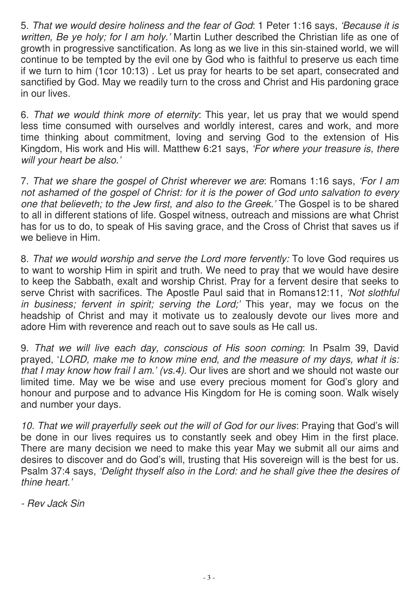5. That we would desire holiness and the fear of God: 1 Peter 1:16 says, 'Because it is written, Be ye holy; for I am holy.' Martin Luther described the Christian life as one of growth in progressive sanctification. As long as we live in this sin-stained world, we will continue to be tempted by the evil one by God who is faithful to preserve us each time if we turn to him (1cor 10:13) . Let us pray for hearts to be set apart, consecrated and sanctified by God. May we readily turn to the cross and Christ and His pardoning grace in our lives.

6. That we would think more of eternity: This year, let us pray that we would spend less time consumed with ourselves and worldly interest, cares and work, and more time thinking about commitment, loving and serving God to the extension of His Kingdom, His work and His will. Matthew 6:21 says, 'For where your treasure is, there will your heart be also.'

7. That we share the gospel of Christ wherever we are: Romans 1:16 says, 'For I am not ashamed of the gospel of Christ: for it is the power of God unto salvation to every one that believeth; to the Jew first, and also to the Greek.' The Gospel is to be shared to all in different stations of life. Gospel witness, outreach and missions are what Christ has for us to do, to speak of His saving grace, and the Cross of Christ that saves us if we believe in Him.

8. That we would worship and serve the Lord more fervently: To love God requires us to want to worship Him in spirit and truth. We need to pray that we would have desire to keep the Sabbath, exalt and worship Christ. Pray for a fervent desire that seeks to serve Christ with sacrifices. The Apostle Paul said that in Romans12:11, 'Not slothful in business; fervent in spirit; serving the Lord;' This year, may we focus on the headship of Christ and may it motivate us to zealously devote our lives more and adore Him with reverence and reach out to save souls as He call us.

9. That we will live each day, conscious of His soon coming: In Psalm 39, David prayed, 'LORD, make me to know mine end, and the measure of my days, what it is: that I may know how frail I am.' (vs.4). Our lives are short and we should not waste our limited time. May we be wise and use every precious moment for God's glory and honour and purpose and to advance His Kingdom for He is coming soon. Walk wisely and number your days.

10. That we will prayerfully seek out the will of God for our lives: Praying that God's will be done in our lives requires us to constantly seek and obey Him in the first place. There are many decision we need to make this year May we submit all our aims and desires to discover and do God's will, trusting that His sovereign will is the best for us. Psalm 37:4 says, 'Delight thyself also in the Lord: and he shall give thee the desires of thine heart.'

- Rev Jack Sin